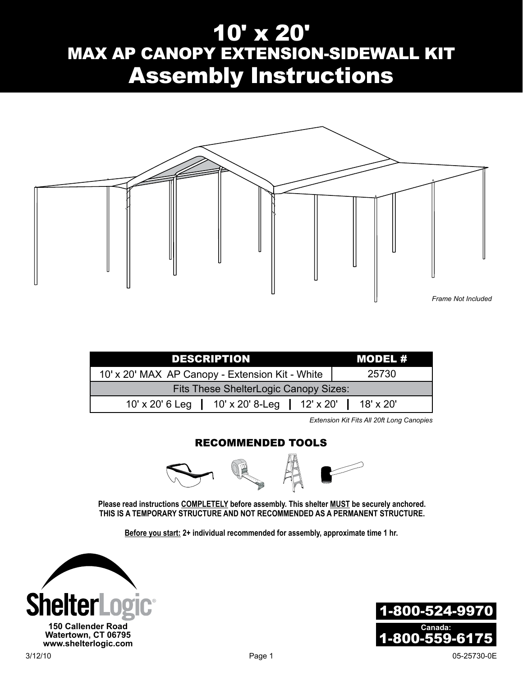# 10' x 20' MAX AP CANOPY EXTENSION-SIDEWALL KIT Assembly Instructions



| <b>DESCRIPTION</b>                              | MODEL #   |  |  |  |
|-------------------------------------------------|-----------|--|--|--|
| 10' x 20' MAX AP Canopy - Extension Kit - White | 25730     |  |  |  |
| Fits These ShelterLogic Canopy Sizes:           |           |  |  |  |
| 10' x 20' 6 Leg   10' x 20' 8-Leg   12' x 20'   | 18' x 20' |  |  |  |

*Extension Kit Fits All 20ft Long Canopies*

#### Recommended Tools



**Please read instructions COMPLETELY before assembly. This shelter MUST be securely anchored. THIS IS A TEMPORARY STRUCTURE AND NOT RECOMMENDED AS A PERMANENT STRUCTURE.**

**Before you start: 2+ individual recommended for assembly, approximate time 1 hr.**

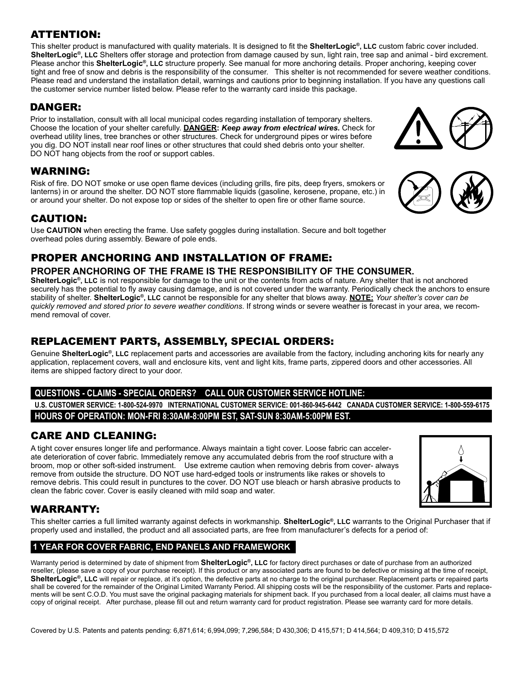### ATTENTION:

This shelter product is manufactured with quality materials. It is designed to fit the **ShelterLogic®, LLC** custom fabric cover included. **ShelterLogic®, LLC** Shelters offer storage and protection from damage caused by sun, light rain, tree sap and animal - bird excrement. Please anchor this **ShelterLogic®, LLC** structure properly. See manual for more anchoring details. Proper anchoring, keeping cover tight and free of snow and debris is the responsibility of the consumer. This shelter is not recommended for severe weather conditions. Please read and understand the installation detail, warnings and cautions prior to beginning installation. If you have any questions call the customer service number listed below. Please refer to the warranty card inside this package.

### DANGER:

Prior to installation, consult with all local municipal codes regarding installation of temporary shelters. Choose the location of your shelter carefully. **Danger:** *Keep away from electrical wires.* Check for overhead utility lines, tree branches or other structures. Check for underground pipes or wires before you dig. DO NOT install near roof lines or other structures that could shed debris onto your shelter. DO NOT hang objects from the roof or support cables.

## WARNING:

Risk of fire. DO NOT smoke or use open flame devices (including grills, fire pits, deep fryers, smokers or lanterns) in or around the shelter. DO NOT store flammable liquids (gasoline, kerosene, propane, etc.) in or around your shelter. Do not expose top or sides of the shelter to open fire or other flame source.

## CAUTION:

Use **CAUTION** when erecting the frame. Use safety goggles during installation. Secure and bolt together overhead poles during assembly. Beware of pole ends.

# PROPER ANCHORING AND INSTALLATION OF FRAME:

#### **PROPER ANCHORING OF THE FRAME IS THE RESPONSIBILITY OF THE CONSUMER.**

**ShelterLogic®, LLC** is not responsible for damage to the unit or the contents from acts of nature. Any shelter that is not anchored securely has the potential to fly away causing damage, and is not covered under the warranty. Periodically check the anchors to ensure stability of shelter. **ShelterLogic®, LLC** cannot be responsible for any shelter that blows away. **NOTE:** *Your shelter's cover can be quickly removed and stored prior to severe weather conditions*. If strong winds or severe weather is forecast in your area, we recommend removal of cover.

## REPLACEMENT PARTS, ASSEMBLY, SPECIAL ORDERS:

Genuine **ShelterLogic®, LLC** replacement parts and accessories are available from the factory, including anchoring kits for nearly any application, replacement covers, wall and enclosure kits, vent and light kits, frame parts, zippered doors and other accessories. All items are shipped factory direct to your door.

#### **Questions - claims - special orders? CALL our Customer Service Hotline:**

**U.S. CUSTOMER SERVICE: 1-800-524-9970 INTERNATIONAL CUSTOMER SERVICE: 001-860-945-6442 CANADA CUSTOMER SERVICE: 1-800-559-6175 HOURS OF OPERATION: MON-FRI 8:30AM-8:00PM EST, SAT-SUN 8:30AM-5:00PM EST.**

## CARE AND CLEANING:

A tight cover ensures longer life and performance. Always maintain a tight cover. Loose fabric can accelerate deterioration of cover fabric. Immediately remove any accumulated debris from the roof structure with a broom, mop or other soft-sided instrument. Use extreme caution when removing debris from cover- always remove from outside the structure. DO NOT use hard-edged tools or instruments like rakes or shovels to remove debris. This could result in punctures to the cover. DO NOT use bleach or harsh abrasive products to clean the fabric cover. Cover is easily cleaned with mild soap and water.

## WARRANTY:

This shelter carries a full limited warranty against defects in workmanship. **ShelterLogic®, LLC** warrants to the Original Purchaser that if properly used and installed, the product and all associated parts, are free from manufacturer's defects for a period of:

#### **1 Year For Cover Fabric, End Panels and Framework**

Warranty period is determined by date of shipment from **ShelterLogic®, LLC** for factory direct purchases or date of purchase from an authorized reseller, (please save a copy of your purchase receipt). If this product or any associated parts are found to be defective or missing at the time of receipt, ShelterLogic<sup>®</sup>, LLC will repair or replace, at it's option, the defective parts at no charge to the original purchaser. Replacement parts or repaired parts shall be covered for the remainder of the Original Limited Warranty Period. All shipping costs will be the responsibility of the customer. Parts and replacements will be sent C.O.D. You must save the original packaging materials for shipment back. If you purchased from a local dealer, all claims must have a copy of original receipt. After purchase, please fill out and return warranty card for product registration. Please see warranty card for more details.





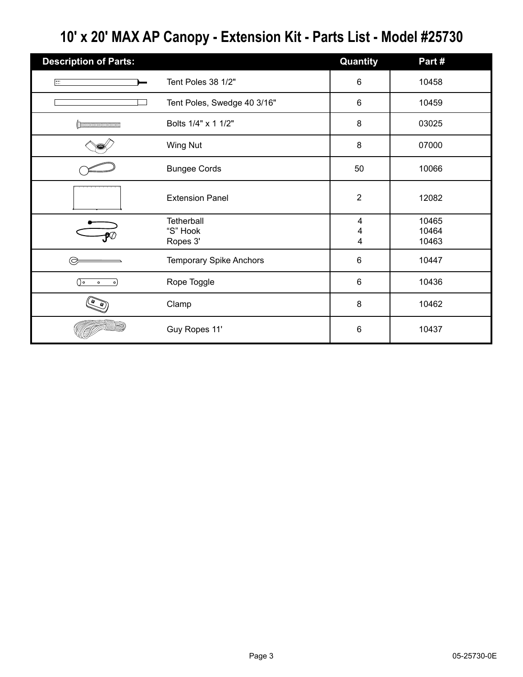# **10' x 20' MAX AP Canopy - Extension Kit - Parts List - Model #25730**

| <b>Description of Parts:</b> |                                | Quantity       | Part#          |
|------------------------------|--------------------------------|----------------|----------------|
| $\Box$                       | Tent Poles 38 1/2"             | $\,6\,$        | 10458          |
|                              | Tent Poles, Swedge 40 3/16"    | 6              | 10459          |
|                              | Bolts 1/4" x 1 1/2"            | 8              | 03025          |
|                              | <b>Wing Nut</b>                | $\bf 8$        | 07000          |
|                              | <b>Bungee Cords</b>            | 50             | 10066          |
|                              | <b>Extension Panel</b>         | $\overline{2}$ | 12082          |
|                              | Tetherball                     | 4              | 10465          |
|                              | "S" Hook<br>Ropes 3'           | 4<br>4         | 10464<br>10463 |
|                              | <b>Temporary Spike Anchors</b> | 6              | 10447          |
| ∩∘<br>$\circ$<br>$\circ$     | Rope Toggle                    | $6\phantom{1}$ | 10436          |
|                              | Clamp                          | 8              | 10462          |
|                              | Guy Ropes 11'                  | 6              | 10437          |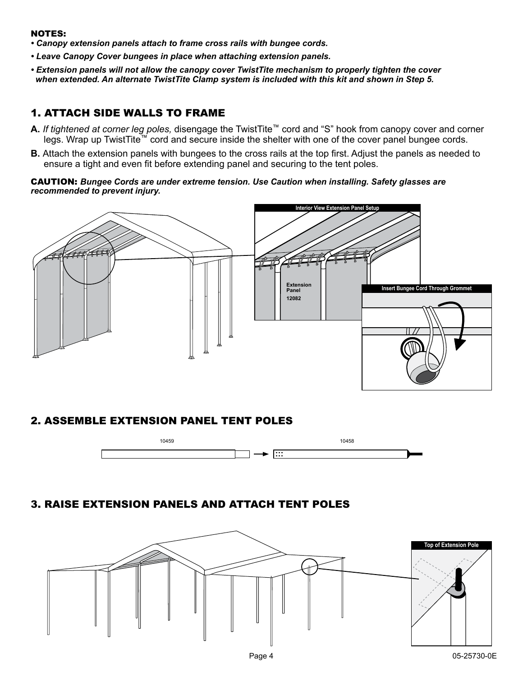#### NOTES:

- *Canopy extension panels attach to frame cross rails with bungee cords.*
- *Leave Canopy Cover bungees in place when attaching extension panels.*
- *Extension panels will not allow the canopy cover TwistTite mechanism to properly tighten the cover when extended. An alternate TwistTite Clamp system is included with this kit and shown in Step 5.*

### 1. Attach Side walls to Frame

- **A.** *If tightened at corner leg poles,* disengage the TwistTite™ cord and "S" hook from canopy cover and corner legs. Wrap up TwistTite™ cord and secure inside the shelter with one of the cover panel bungee cords.
- **B.** Attach the extension panels with bungees to the cross rails at the top first. Adjust the panels as needed to ensure a tight and even fit before extending panel and securing to the tent poles.

CAUTION: *Bungee Cords are under extreme tension. Use Caution when installing. Safety glasses are recommended to prevent injury.*



#### 2. Assemble Extension panel TENT poles



## 3. Raise Extension panels and attach TENT poles

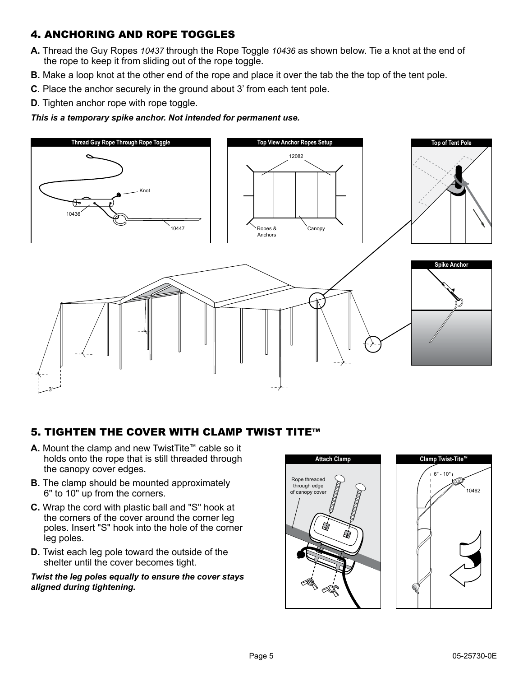## 4. Anchoring and Rope toggles

- **A.** Thread the Guy Ropes *10437* through the Rope Toggle *10436* as shown below. Tie a knot at the end of the rope to keep it from sliding out of the rope toggle.
- **B.** Make a loop knot at the other end of the rope and place it over the tab the the top of the tent pole.
- **C**. Place the anchor securely in the ground about 3' from each tent pole.
- **D**. Tighten anchor rope with rope toggle.

*This is a temporary spike anchor. Not intended for permanent use.*



## 5. Tighten the Cover with Clamp Twist Tite™

- **A.** Mount the clamp and new TwistTite™ cable so it holds onto the rope that is still threaded through the canopy cover edges.
- **B.** The clamp should be mounted approximately 6" to 10" up from the corners.
- **C.** Wrap the cord with plastic ball and "S" hook at the corners of the cover around the corner leg poles. Insert "S" hook into the hole of the corner leg poles.
- **D.** Twist each leg pole toward the outside of the shelter until the cover becomes tight.

#### *Twist the leg poles equally to ensure the cover stays aligned during tightening.*

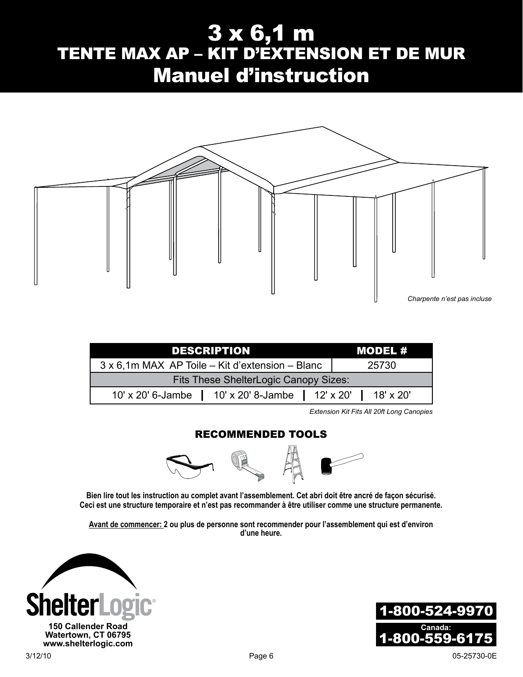# 3 x 6,1 m TENTE MAX AP – KIT D'EXTENSION ET DE MUR Manuel d'instruction



| <b>DESCRIPTION</b>                                            |  | MODEL # |  |  |
|---------------------------------------------------------------|--|---------|--|--|
| 3 x 6,1m MAX AP Toile – Kit d'extension – Blanc               |  | 25730   |  |  |
| Fits These ShelterLogic Canopy Sizes:                         |  |         |  |  |
| 10' x 20' 6-Jambe   10' x 20' 8-Jambe   12' x 20'   18' x 20' |  |         |  |  |

*Extension Kit Fits All 20ft Long Canopies*

#### Recommended Tools



**Bien lire tout les instruction au complet avant l'assemblement. Cet abri doit être ancré de façon sécurisé. Ceci est une structure temporaire et n'est pas recommander à être utiliser comme une structure permanente.**

**Avant de commencer: 2 ou plus de personne sont recommender pour l'assemblement qui est d'environ d'une heure.**

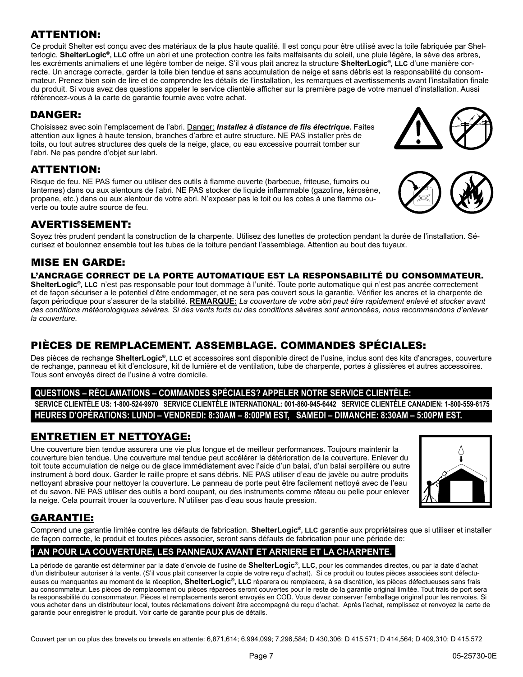## ATTENTION:

Ce produit Shelter est conçu avec des matériaux de la plus haute qualité. Il est conçu pour être utilisé avec la toile fabriquée par Shelterlogic. **ShelterLogic®, LLC** offre un abri et une protection contre les faits malfaisants du soleil, une pluie légère, la sève des arbres, les excréments animaliers et une légère tomber de neige. S'il vous plait ancrez la structure **ShelterLogic®, LLC** d'une manière correcte. Un ancrage correcte, garder la toile bien tendue et sans accumulation de neige et sans débris est la responsabilité du consommateur. Prenez bien soin de lire et de comprendre les détails de l'installation, les remarques et avertissements avant l'installation finale du produit. Si vous avez des questions appeler le service clientèle afficher sur la première page de votre manuel d'installation. Aussi référencez-vous à la carte de garantie fournie avec votre achat.

## DANGER:

Choisissez avec soin l'emplacement de l'abri. Danger: *Installez à distance de fils électrique.* Faites attention aux lignes à haute tension, branches d'arbre et autre structure. NE PAS installer près de toits, ou tout autres structures des quels de la neige, glace, ou eau excessive pourrait tomber sur l'abri. Ne pas pendre d'objet sur labri.

## ATTENTION:

Risque de feu. NE PAS fumer ou utiliser des outils à flamme ouverte (barbecue, friteuse, fumoirs ou lanternes) dans ou aux alentours de l'abri. NE PAS stocker de liquide inflammable (gazoline, kérosène, propane, etc.) dans ou aux alentour de votre abri. N'exposer pas le toit ou les cotes à une flamme ouverte ou toute autre source de feu.

## Avertissement:

Soyez très prudent pendant la construction de la charpente. Utilisez des lunettes de protection pendant la durée de l'installation. Sécurisez et boulonnez ensemble tout les tubes de la toiture pendant l'assemblage. Attention au bout des tuyaux.

## MISE EN GARDE:

#### L'ancrage correct de la porte automatique est la responsabilité du consommateur.

**ShelterLogic®, LLC** n'est pas responsable pour tout dommage à l'unité. Toute porte automatique qui n'est pas ancrée correctement et de façon sécuriser a le potentiel d'être endommager, et ne sera pas couvert sous la garantie. Vérifier les ancres et la charpente de façon périodique pour s'assurer de la stabilité. **REMARQUE:** *La couverture de votre abri peut être rapidement enlevé et stocker avant des conditions météorologiques sévères. Si des vents forts ou des conditions sévères sont annoncées, nous recommandons d'enlever la couverture.* 

## Pièces de remplacement. Assemblage. Commandes Spéciales:

Des pièces de rechange **ShelterLogic®, LLC** et accessoires sont disponible direct de l'usine, inclus sont des kits d'ancrages, couverture de rechange, panneau et kit d'enclosure, kit de lumière et de ventilation, tube de charpente, portes à glissières et autres accessoires. Tous sont envoyés direct de l'usine à votre domicile.

#### **Questions – Réclamations – Commandes spéciales? Appeler notre service clientèle:**

**Service clientèle US: 1-800-524-9970 Service clientèle international: 001-860-945-6442 Service Clientèle Canadien: 1-800-559-6175 Heures d'opérations: Lundi – Vendredi: 8:30am – 8:00pm EST, Samedi – Dimanche: 8:30am – 5:00pm EST.**

## Entretien et nettoyage:

Une couverture bien tendue assurera une vie plus longue et de meilleur performances. Toujours maintenir la couverture bien tendue. Une couverture mal tendue peut accélérer la détérioration de la couverture. Enlever du toit toute accumulation de neige ou de glace immédiatement avec l'aide d'un balai, d'un balai serpillère ou autre instrument à bord doux. Garder le raille propre et sans débris. NE PAS utiliser d'eau de javèle ou autre produits nettoyant abrasive pour nettoyer la couverture. Le panneau de porte peut être facilement nettoyé avec de l'eau et du savon. NE PAS utiliser des outils a bord coupant, ou des instruments comme râteau ou pelle pour enlever la neige. Cela pourrait trouer la couverture. N'utiliser pas d'eau sous haute pression.



## GARANTIE:

Comprend une garantie limitée contre les défauts de fabrication. **ShelterLogic®, LLC** garantie aux propriétaires que si utiliser et installer de façon correcte, le produit et toutes pièces associer, seront sans défauts de fabrication pour une période de:

## **1 AN POUR LA COUVERTURE, LES PANNEAUX AVANT ET ARRIERE ET LA CHARPENTE.**

La période de garantie est déterminer par la date d'envoie de l'usine de **ShelterLogic®, LLC**, pour les commandes directes, ou par la date d'achat d'un distributeur autoriser à la vente. (S'il vous plait conserver la copie de votre reçu d'achat). Si ce produit ou toutes pièces associées sont défectueuses ou manquantes au moment de la réception, **ShelterLogic®, LLC** réparera ou remplacera, à sa discrétion, les pièces défectueuses sans frais au consommateur. Les pièces de remplacement ou pièces réparées seront couvertes pour le reste de la garantie original limitée. Tout frais de port sera la responsabilité du consommateur. Pièces et remplacements seront envoyés en COD. Vous devez conserver l'emballage original pour les renvoies. Si vous acheter dans un distributeur local, toutes réclamations doivent être accompagné du reçu d'achat. Après l'achat, remplissez et renvoyez la carte de garantie pour enregistrer le produit. Voir carte de garantie pour plus de détails.

Couvert par un ou plus des brevets ou brevets en attente: 6,871,614; 6,994,099; 7,296,584; D 430,306; D 415,571; D 414,564; D 409,310; D 415,572



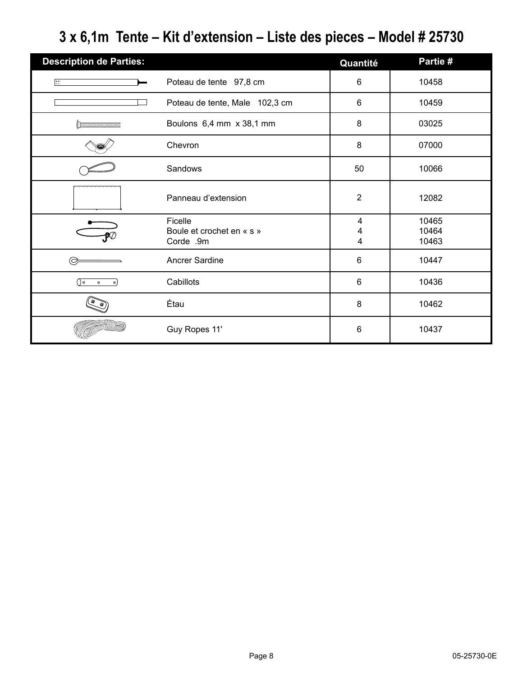# **3 x 6,1m Tente – Kit d'extension – Liste des pieces – Model # 25730**

| <b>Description de Parties:</b> |                                                   | Quantité       | Partie #                |
|--------------------------------|---------------------------------------------------|----------------|-------------------------|
| 圧                              | Poteau de tente 97,8 cm                           | 6              | 10458                   |
|                                | Poteau de tente, Male 102,3 cm                    | 6              | 10459                   |
|                                | Boulons 6,4 mm x 38,1 mm                          | 8              | 03025                   |
|                                | Chevron                                           | 8              | 07000                   |
|                                | Sandows                                           | 50             | 10066                   |
|                                | Panneau d'extension                               | $\overline{2}$ | 12082                   |
|                                | Ficelle<br>Boule et crochet en « s »<br>Corde .9m | 4<br>4<br>4    | 10465<br>10464<br>10463 |
|                                | Ancrer Sardine                                    | 6              | 10447                   |
| ه ( )<br>$\circ$<br>$\circ$    | Cabillots                                         | $6\phantom{1}$ | 10436                   |
|                                | Étau                                              | 8              | 10462                   |
|                                | Guy Ropes 11'                                     | 6              | 10437                   |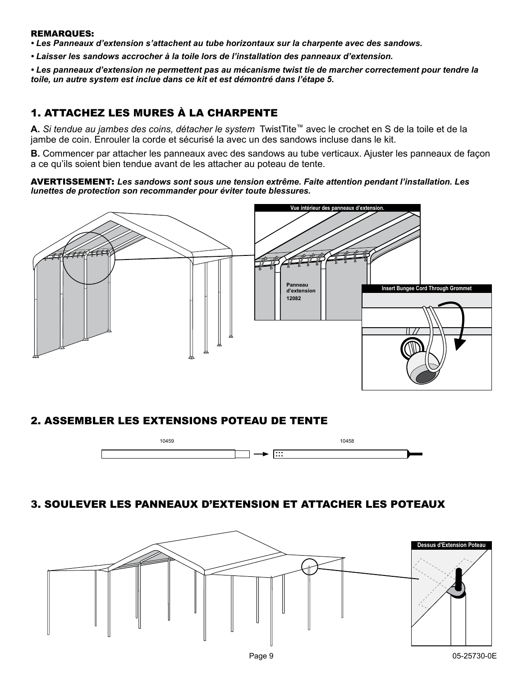#### Remarques:

*• Les Panneaux d'extension s'attachent au tube horizontaux sur la charpente avec des sandows.*

*• Laisser les sandows accrocher à la toile lors de l'installation des panneaux d'extension.*

*• Les panneaux d'extension ne permettent pas au mécanisme twist tie de marcher correctement pour tendre la toile, un autre system est inclue dans ce kit et est démontré dans l'étape 5.*

## 1. Attachez les mures à la charpente

**A.** *Si tendue au jambes des coins, détacher le system* TwistTite™ avec le crochet en S de la toile et de la jambe de coin. Enrouler la corde et sécurisé la avec un des sandows incluse dans le kit.

**B.** Commencer par attacher les panneaux avec des sandows au tube verticaux. Ajuster les panneaux de façon a ce qu'ils soient bien tendue avant de les attacher au poteau de tente.

Avertissement: *Les sandows sont sous une tension extrême. Faite attention pendant l'installation. Les lunettes de protection son recommander pour éviter toute blessures.*



#### 2. Assembler les extensions Poteau de tente



## 3. Soulever les panneaux d'extension et attacher les poteaux